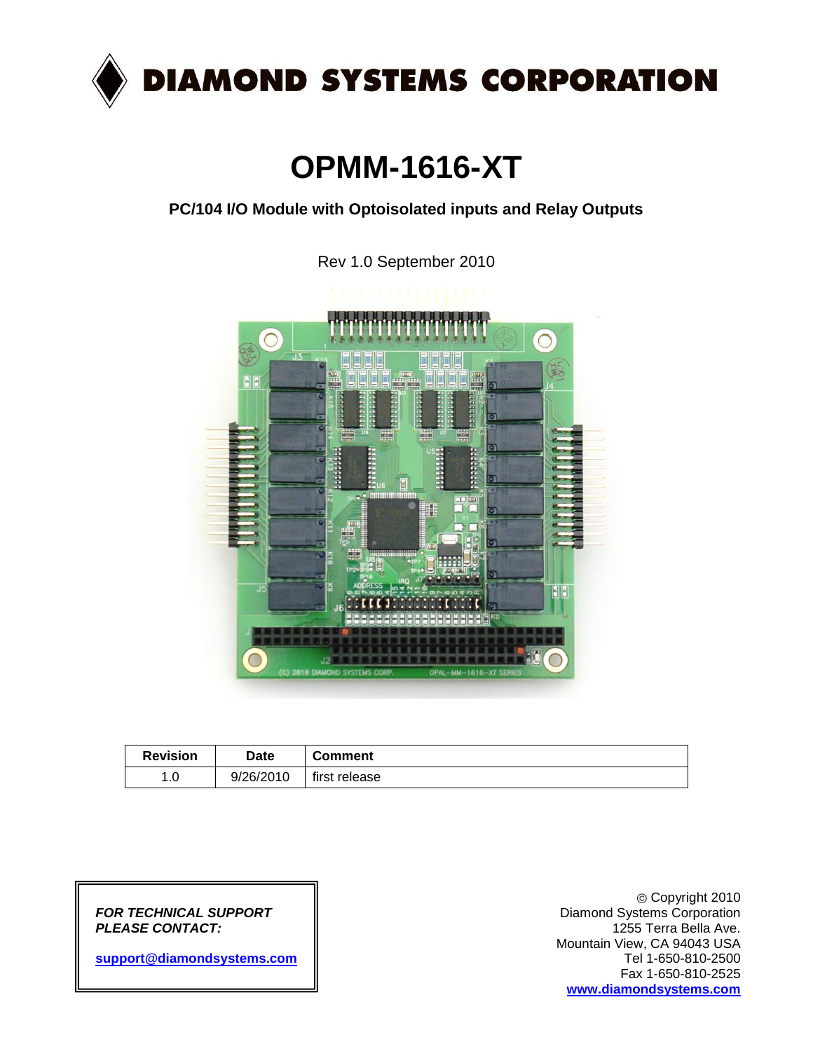

# **OPMM-1616-XT**

**PC/104 I/O Module with Optoisolated inputs and Relay Outputs**

Rev 1.0 September 2010



| <b>Revision</b>     | <b>Date</b> | <b>Comment</b> |
|---------------------|-------------|----------------|
| $\sim$<br>л.<br>I.U | 9/26/2010   | first release  |

**PLEASE CONTACT:** 

[support@diamondsystems.com](mailto:support@diamondsystems.com)

Copyright 2010 *FOR TECHNICAL SUPPORT* Diamond Systems Corporation Mountain View, CA 94043 USA Fax 1-650-810-2525 **[www.diamondsystems.com](http://www.diamondsystems.com/)**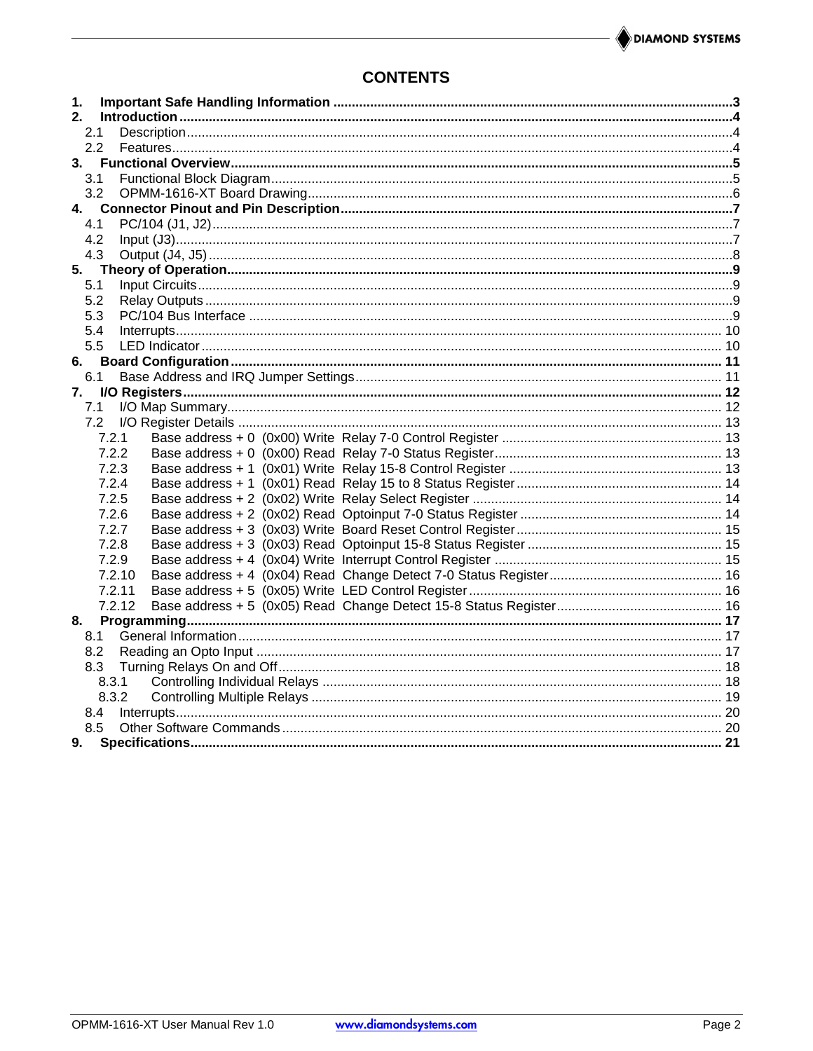## **CONTENTS**

| 1.            |  |
|---------------|--|
| 2.            |  |
| 2.1           |  |
| $2.2^{\circ}$ |  |
| 3.            |  |
| 3.1           |  |
| 3.2           |  |
|               |  |
| 4.1           |  |
| 4.2           |  |
| 4.3<br>5.     |  |
| 5.1           |  |
| 5.2           |  |
| 5.3           |  |
| 5.4           |  |
| 5.5           |  |
| 6.            |  |
| 6.1           |  |
| 7.            |  |
| 7.1           |  |
| 7.2           |  |
| 7.2.1         |  |
| 7.2.2         |  |
| 7.2.3         |  |
| 7.2.4         |  |
| 7.2.5         |  |
| 7.2.6         |  |
| 7.2.7         |  |
| 7.2.8         |  |
| 7.2.9         |  |
| 7.2.10        |  |
| 7.2.11        |  |
| 7.2.12        |  |
| 8.            |  |
| 8.1           |  |
| 8.2           |  |
| 8.3           |  |
| 8.3.1         |  |
| 8.3.2         |  |
| 8.4           |  |
| 8.5           |  |
| 9.            |  |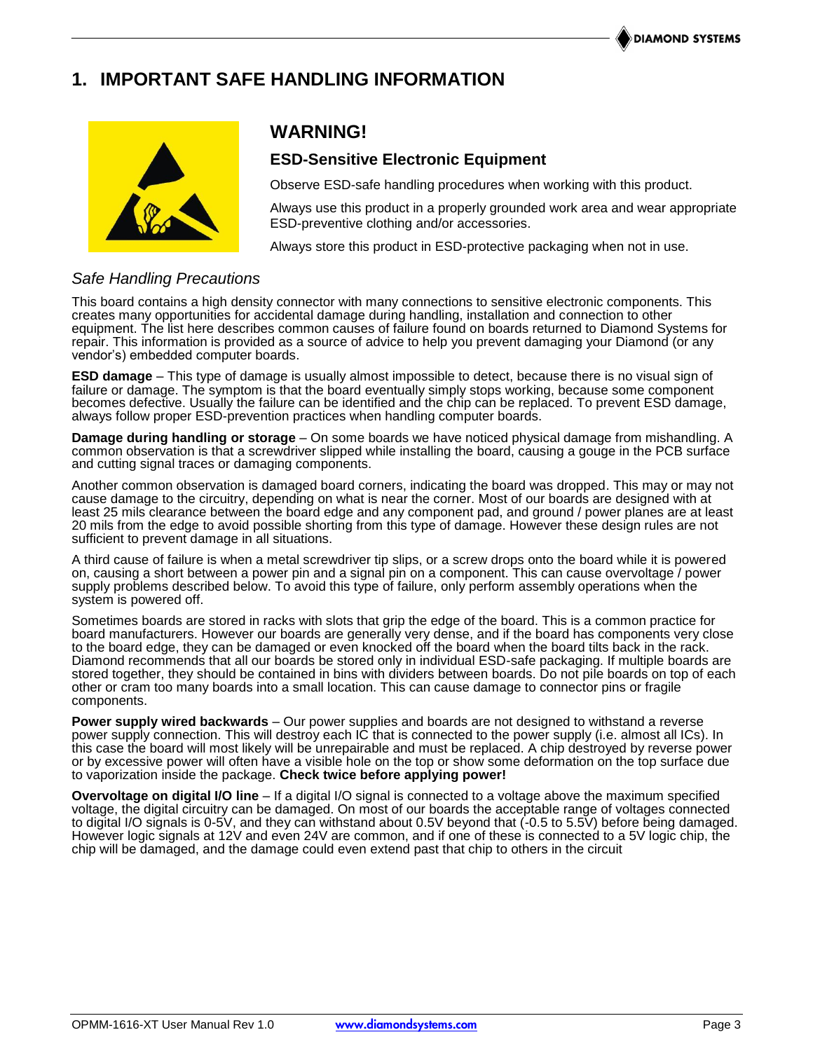## **1. IMPORTANT SAFE HANDLING INFORMATION**



## **WARNING!**

## **ESD-Sensitive Electronic Equipment**

Observe ESD-safe handling procedures when working with this product.

Always use this product in a properly grounded work area and wear appropriate ESD-preventive clothing and/or accessories.

Always store this product in ESD-protective packaging when not in use.

## *Safe Handling Precautions*

This board contains a high density connector with many connections to sensitive electronic components. This creates many opportunities for accidental damage during handling, installation and connection to other equipment. The list here describes common causes of failure found on boards returned to Diamond Systems for repair. This information is provided as a source of advice to help you prevent damaging your Diamond (or any vendor's) embedded computer boards.

**ESD damage** – This type of damage is usually almost impossible to detect, because there is no visual sign of failure or damage. The symptom is that the board eventually simply stops working, because some component becomes defective. Usually the failure can be identified and the chip can be replaced. To prevent ESD damage, always follow proper ESD-prevention practices when handling computer boards.

**Damage during handling or storage** – On some boards we have noticed physical damage from mishandling. A common observation is that a screwdriver slipped while installing the board, causing a gouge in the PCB surface and cutting signal traces or damaging components.

Another common observation is damaged board corners, indicating the board was dropped. This may or may not cause damage to the circuitry, depending on what is near the corner. Most of our boards are designed with at least 25 mils clearance between the board edge and any component pad, and ground / power planes are at least 20 mils from the edge to avoid possible shorting from this type of damage. However these design rules are not sufficient to prevent damage in all situations.

A third cause of failure is when a metal screwdriver tip slips, or a screw drops onto the board while it is powered on, causing a short between a power pin and a signal pin on a component. This can cause overvoltage / power supply problems described below. To avoid this type of failure, only perform assembly operations when the system is powered off.

Sometimes boards are stored in racks with slots that grip the edge of the board. This is a common practice for board manufacturers. However our boards are generally very dense, and if the board has components very close to the board edge, they can be damaged or even knocked off the board when the board tilts back in the rack. Diamond recommends that all our boards be stored only in individual ESD-safe packaging. If multiple boards are stored together, they should be contained in bins with dividers between boards. Do not pile boards on top of each other or cram too many boards into a small location. This can cause damage to connector pins or fragile components.

**Power supply wired backwards** – Our power supplies and boards are not designed to withstand a reverse power supply connection. This will destroy each IC that is connected to the power supply (i.e. almost all ICs). In this case the board will most likely will be unrepairable and must be replaced. A chip destroyed by reverse power or by excessive power will often have a visible hole on the top or show some deformation on the top surface due to vaporization inside the package. **Check twice before applying power!**

**Overvoltage on digital I/O line** – If a digital I/O signal is connected to a voltage above the maximum specified voltage, the digital circuitry can be damaged. On most of our boards the acceptable range of voltages connected to digital I/O signals is 0-5V, and they can withstand about 0.5V beyond that (-0.5 to 5.5V) before being damaged. However logic signals at 12V and even 24V are common, and if one of these is connected to a 5V logic chip, the chip will be damaged, and the damage could even extend past that chip to others in the circuit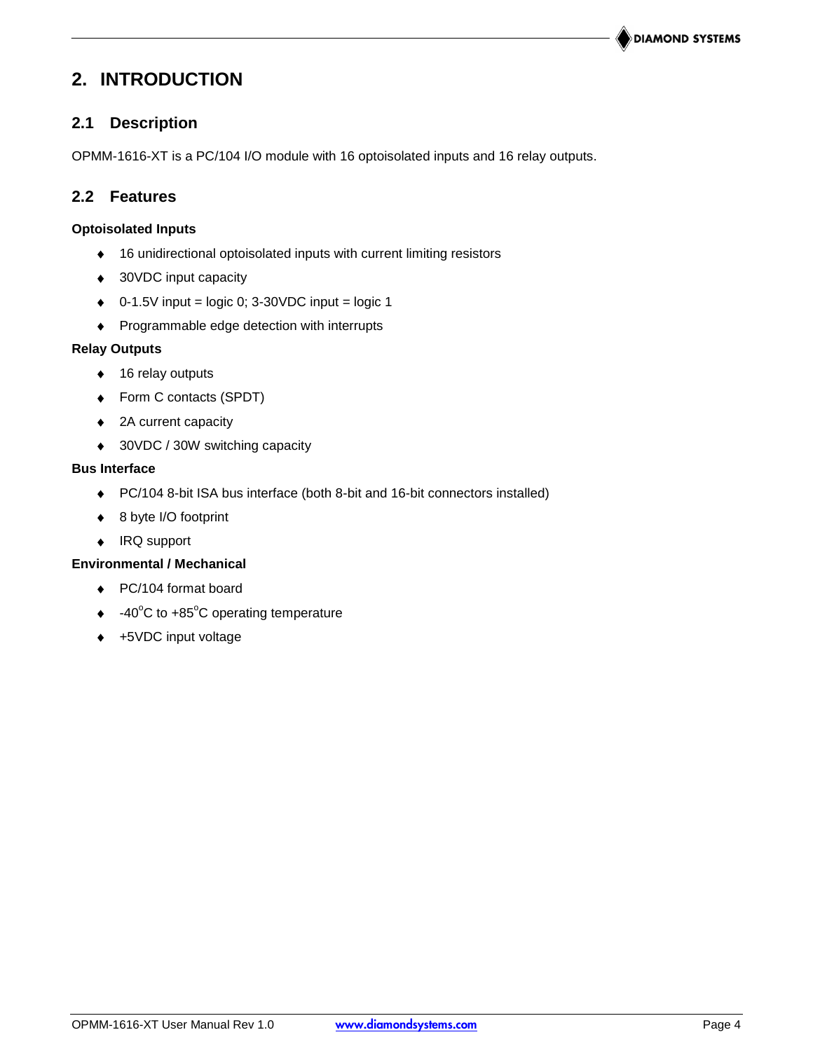## **2. INTRODUCTION**

## **2.1 Description**

OPMM-1616-XT is a PC/104 I/O module with 16 optoisolated inputs and 16 relay outputs.

## **2.2 Features**

### **Optoisolated Inputs**

- 16 unidirectional optoisolated inputs with current limiting resistors
- ◆ 30VDC input capacity
- $\bullet$  0-1.5V input = logic 0; 3-30VDC input = logic 1
- Programmable edge detection with interrupts

### **Relay Outputs**

- ◆ 16 relay outputs
- ◆ Form C contacts (SPDT)
- ◆ 2A current capacity
- ◆ 30VDC / 30W switching capacity

### **Bus Interface**

- PC/104 8-bit ISA bus interface (both 8-bit and 16-bit connectors installed)
- ◆ 8 byte I/O footprint
- ◆ IRQ support

### **Environmental / Mechanical**

- ◆ PC/104 format board
- $\div$  -40°C to +85°C operating temperature
- ◆ +5VDC input voltage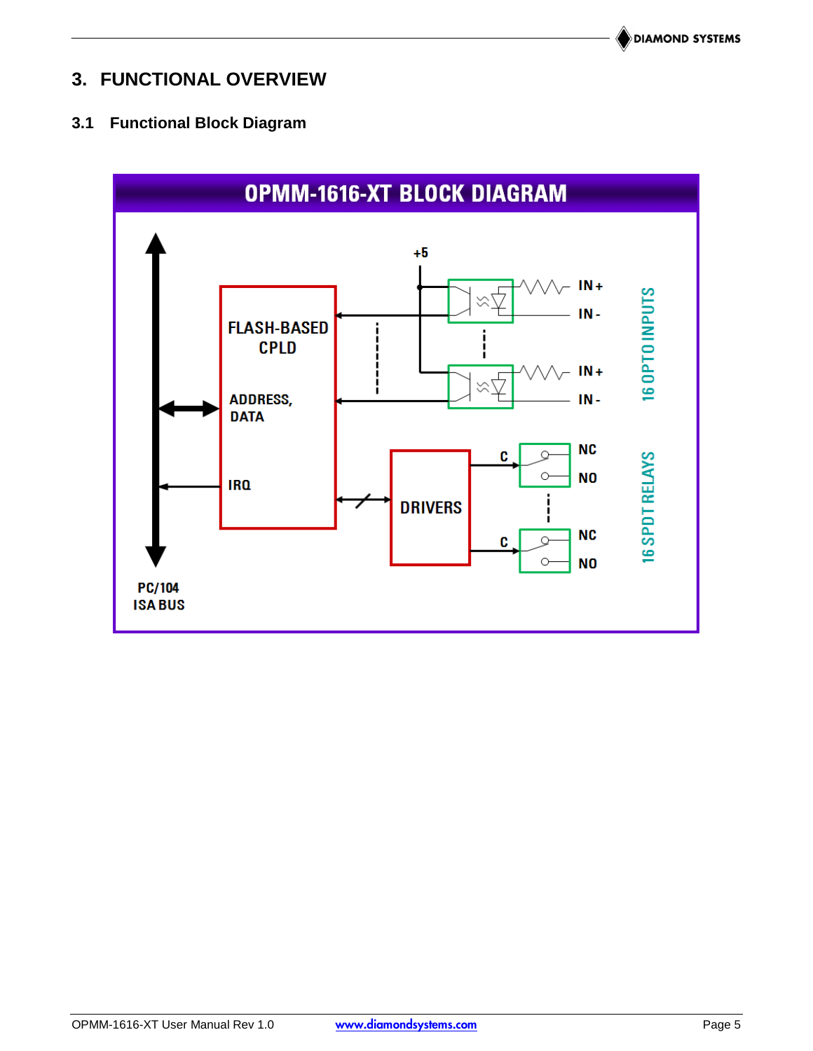## **3. FUNCTIONAL OVERVIEW**

## **3.1 Functional Block Diagram**

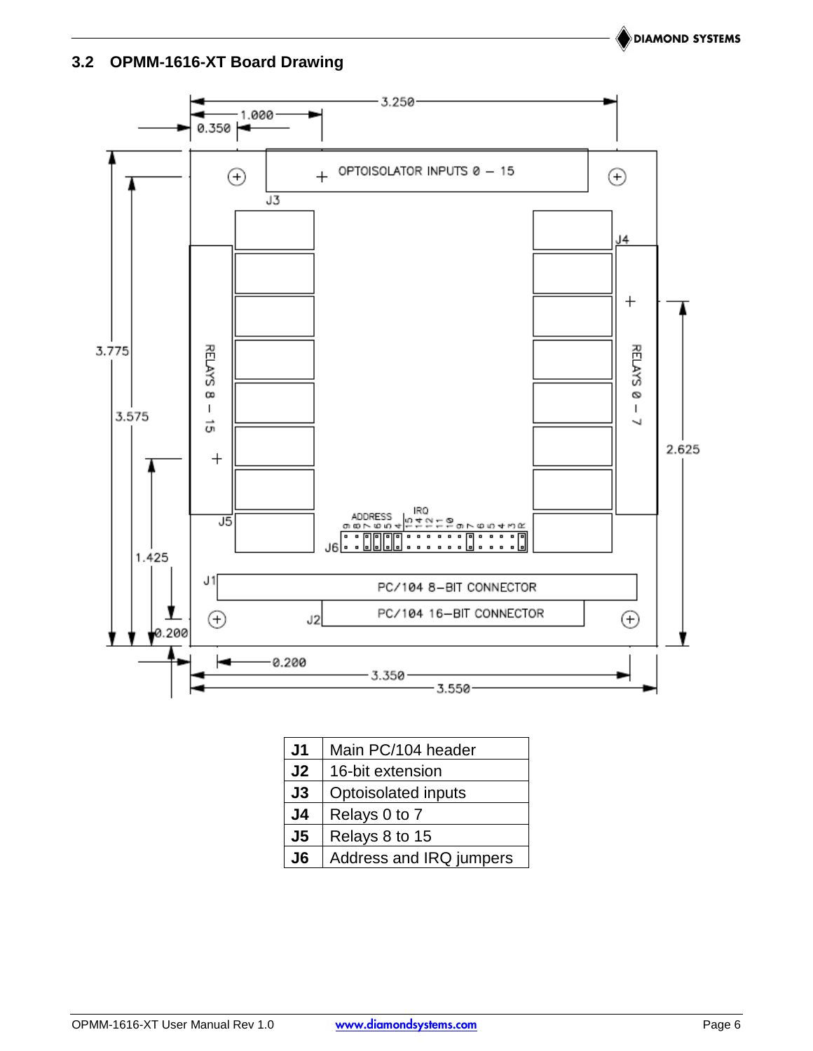**DIAMOND SYSTEMS** 

## **3.2 OPMM-1616-XT Board Drawing**



| J1             | Main PC/104 header      |
|----------------|-------------------------|
| J <sub>2</sub> | 16-bit extension        |
| J3             | Optoisolated inputs     |
| J4             | Relays 0 to 7           |
| J <sub>5</sub> | Relays 8 to 15          |
| J6             | Address and IRQ jumpers |

OPMM-1616-XT User Manual Rev 1.0 **www.diamondsystems.com** Page 6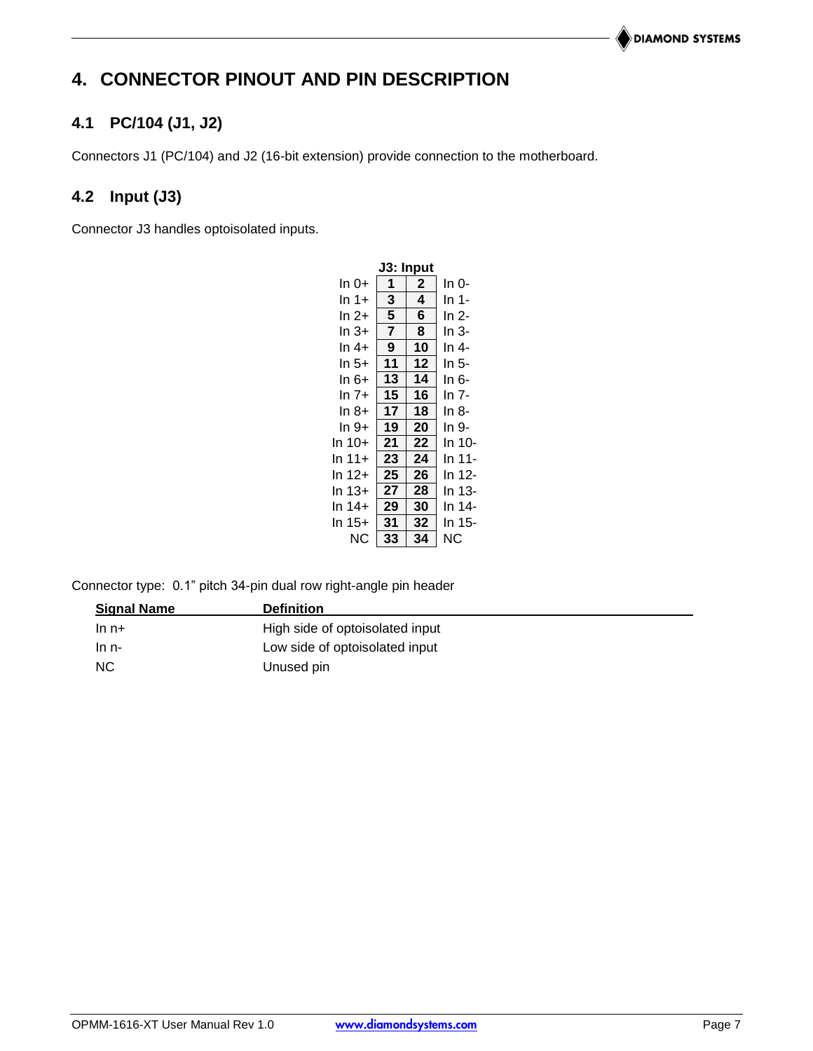## **4. CONNECTOR PINOUT AND PIN DESCRIPTION**

## **4.1 PC/104 (J1, J2)**

Connectors J1 (PC/104) and J2 (16-bit extension) provide connection to the motherboard.

## **4.2 Input (J3)**

Connector J3 handles optoisolated inputs.

| J3: Input |                |              |        |  |  |  |  |  |  |
|-----------|----------------|--------------|--------|--|--|--|--|--|--|
| ln 0+     | 1              | $\mathbf{2}$ | In 0-  |  |  |  |  |  |  |
| In 1+     | 3              | 4            | In 1-  |  |  |  |  |  |  |
| In 2+     | 5              | 6            | In 2-  |  |  |  |  |  |  |
| In 3+     | $\overline{7}$ | 8            | In 3-  |  |  |  |  |  |  |
| ln 4+     | 9              | 10           | ln 4-  |  |  |  |  |  |  |
| ln 5+     | 11             | 12           | In 5-  |  |  |  |  |  |  |
| ln 6+     | 13             | 14           | In 6-  |  |  |  |  |  |  |
| In 7+     | 15             | 16           | In 7-  |  |  |  |  |  |  |
| In 8+     | 17             | 18           | In 8-  |  |  |  |  |  |  |
| In 9+     | 19             | 20           | In 9-  |  |  |  |  |  |  |
| In 10+    | 21             | 22           | In 10- |  |  |  |  |  |  |
| ln 11+    | 23             | 24           | In 11- |  |  |  |  |  |  |
| In 12+    | 25             | 26           | In 12- |  |  |  |  |  |  |
| ln 13+    | 27             | 28           | In 13- |  |  |  |  |  |  |
| ln 14+    | 29             | 30           | In 14- |  |  |  |  |  |  |
| ln 15+    | 31             | 32           | In 15- |  |  |  |  |  |  |
| ΝC        | 33             | 34           | ΝC     |  |  |  |  |  |  |

Connector type: 0.1" pitch 34-pin dual row right-angle pin header

| <b>Signal Name</b> | <b>Definition</b>               |  |
|--------------------|---------------------------------|--|
| $ln n+$            | High side of optoisolated input |  |
| $ln n-$            | Low side of optoisolated input  |  |
| <b>NC</b>          | Unused pin                      |  |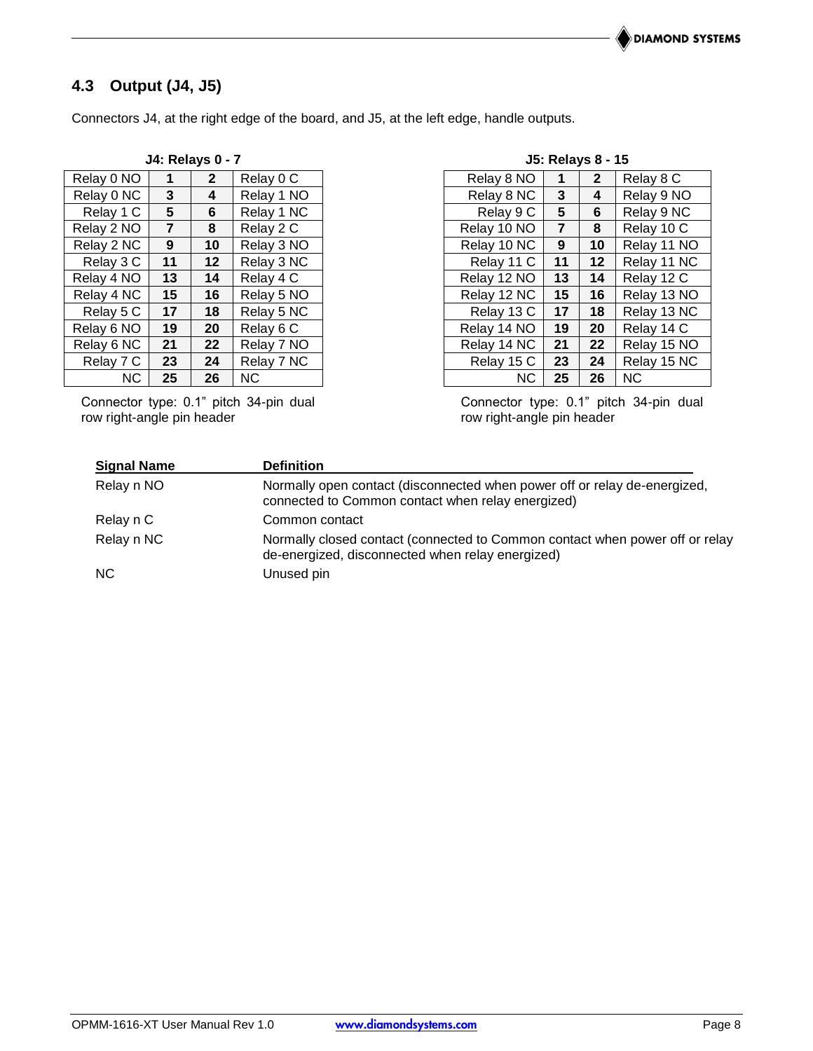## **4.3 Output (J4, J5)**

Connectors J4, at the right edge of the board, and J5, at the left edge, handle outputs.

| <b>J4: Relays 0 - 7</b> |                |              | <b>J5: Relays 8 - 15</b> |             |                |                 |            |
|-------------------------|----------------|--------------|--------------------------|-------------|----------------|-----------------|------------|
| Relay 0 NO              | 1              | $\mathbf{2}$ | Relay 0 C                | Relay 8 NO  | 1              | $\mathbf{2}$    | Relay 8 C  |
| Relay 0 NC              | 3              | 4            | Relay 1 NO               | Relay 8 NC  | 3              | 4               | Relay 9 NO |
| Relay 1 C               | 5              | 6            | Relay 1 NC               | Relay 9 C   | 5              | 6               | Relay 9 NC |
| Relay 2 NO              | $\overline{7}$ | 8            | Relay 2 C                | Relay 10 NO | $\overline{7}$ | 8               | Relay 10 C |
| Relay 2 NC              | 9              | 10           | Relay 3 NO               | Relay 10 NC | 9              | 10              | Relay 11 N |
| Relay 3 C               | 11             | 12           | Relay 3 NC               | Relay 11 C  | 11             | 12 <sub>2</sub> | Relay 11 N |
| Relay 4 NO              | 13             | 14           | Relay 4 C                | Relay 12 NO | 13             | 14              | Relay 12 C |
| Relay 4 NC              | 15             | 16           | Relay 5 NO               | Relay 12 NC | 15             | 16              | Relay 13 N |
| Relay 5 C               | 17             | 18           | Relay 5 NC               | Relay 13 C  | 17             | 18              | Relay 13 N |
| Relay 6 NO              | 19             | 20           | Relay 6 C                | Relay 14 NO | 19             | 20              | Relay 14 C |
| Relay 6 NC              | 21             | 22           | Relay 7 NO               | Relay 14 NC | 21             | 22              | Relay 15 N |
| Relay 7 C               | 23             | 24           | Relay 7 NC               | Relay 15 C  | 23             | 24              | Relay 15 N |
| NC.                     | 25             | 26           | <b>NC</b>                | NC.         | 25             | 26              | <b>NC</b>  |

Connector type: 0.1" pitch 34-pin dual row right-angle pin header

|  | <b>J5: Relays 8 - 15</b> |  |
|--|--------------------------|--|
|  |                          |  |

| Relay 0 NO |    | 2  | Relay 0 C  | Relay 8 NO  |    | 2  | Relay 8 C   |
|------------|----|----|------------|-------------|----|----|-------------|
| Relay 0 NC | 3  | 4  | Relay 1 NO | Relay 8 NC  | 3  | 4  | Relay 9 NO  |
| Relay 1 C  | 5  | 6  | Relay 1 NC | Relay 9 C   | 5  | 6  | Relay 9 NC  |
| Relay 2 NO | 7  | 8  | Relay 2 C  | Relay 10 NO | 7  | 8  | Relay 10 C  |
| Relay 2 NC | 9  | 10 | Relay 3 NO | Relay 10 NC | 9  | 10 | Relay 11 NO |
| Relay 3 C  | 11 | 12 | Relay 3 NC | Relay 11 C  | 11 | 12 | Relay 11 NC |
| Relay 4 NO | 13 | 14 | Relay 4 C  | Relay 12 NO | 13 | 14 | Relay 12 C  |
| Relay 4 NC | 15 | 16 | Relay 5 NO | Relay 12 NC | 15 | 16 | Relay 13 NO |
| Relay 5 C  | 17 | 18 | Relay 5 NC | Relay 13 C  | 17 | 18 | Relay 13 NC |
| Relay 6 NO | 19 | 20 | Relay 6 C  | Relay 14 NO | 19 | 20 | Relay 14 C  |
| Relay 6 NC | 21 | 22 | Relay 7 NO | Relay 14 NC | 21 | 22 | Relay 15 NO |
| Relay 7 C  | 23 | 24 | Relay 7 NC | Relay 15 C  | 23 | 24 | Relay 15 NC |
| NC.        | 25 | 26 | NC.        | NC.         | 25 | 26 | <b>NC</b>   |

Connector type: 0.1" pitch 34-pin dual row right-angle pin header

| <b>Signal Name</b> | <b>Definition</b>                                                                                                                |
|--------------------|----------------------------------------------------------------------------------------------------------------------------------|
| Relay n NO         | Normally open contact (disconnected when power off or relay de-energized,<br>connected to Common contact when relay energized)   |
| Relay n C          | Common contact                                                                                                                   |
| Relay n NC         | Normally closed contact (connected to Common contact when power off or relay<br>de-energized, disconnected when relay energized) |
| NC.                | Unused pin                                                                                                                       |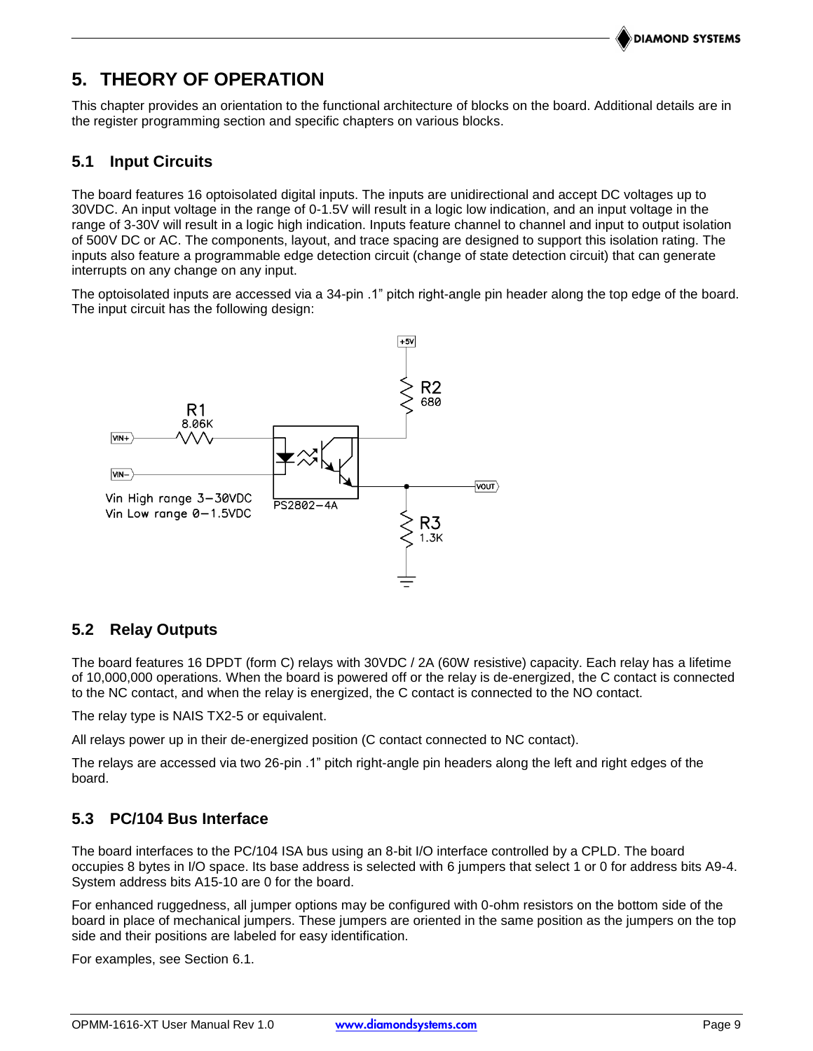## **5. THEORY OF OPERATION**

This chapter provides an orientation to the functional architecture of blocks on the board. Additional details are in the register programming section and specific chapters on various blocks.

## **5.1 Input Circuits**

The board features 16 optoisolated digital inputs. The inputs are unidirectional and accept DC voltages up to 30VDC. An input voltage in the range of 0-1.5V will result in a logic low indication, and an input voltage in the range of 3-30V will result in a logic high indication. Inputs feature channel to channel and input to output isolation of 500V DC or AC. The components, layout, and trace spacing are designed to support this isolation rating. The inputs also feature a programmable edge detection circuit (change of state detection circuit) that can generate interrupts on any change on any input.

The optoisolated inputs are accessed via a 34-pin .1" pitch right-angle pin header along the top edge of the board. The input circuit has the following design:



## **5.2 Relay Outputs**

The board features 16 DPDT (form C) relays with 30VDC / 2A (60W resistive) capacity. Each relay has a lifetime of 10,000,000 operations. When the board is powered off or the relay is de-energized, the C contact is connected to the NC contact, and when the relay is energized, the C contact is connected to the NO contact.

The relay type is NAIS TX2-5 or equivalent.

All relays power up in their de-energized position (C contact connected to NC contact).

The relays are accessed via two 26-pin .1" pitch right-angle pin headers along the left and right edges of the board.

## **5.3 PC/104 Bus Interface**

The board interfaces to the PC/104 ISA bus using an 8-bit I/O interface controlled by a CPLD. The board occupies 8 bytes in I/O space. Its base address is selected with 6 jumpers that select 1 or 0 for address bits A9-4. System address bits A15-10 are 0 for the board.

For enhanced ruggedness, all jumper options may be configured with 0-ohm resistors on the bottom side of the board in place of mechanical jumpers. These jumpers are oriented in the same position as the jumpers on the top side and their positions are labeled for easy identification.

For examples, see Section [6.1.](#page-10-0)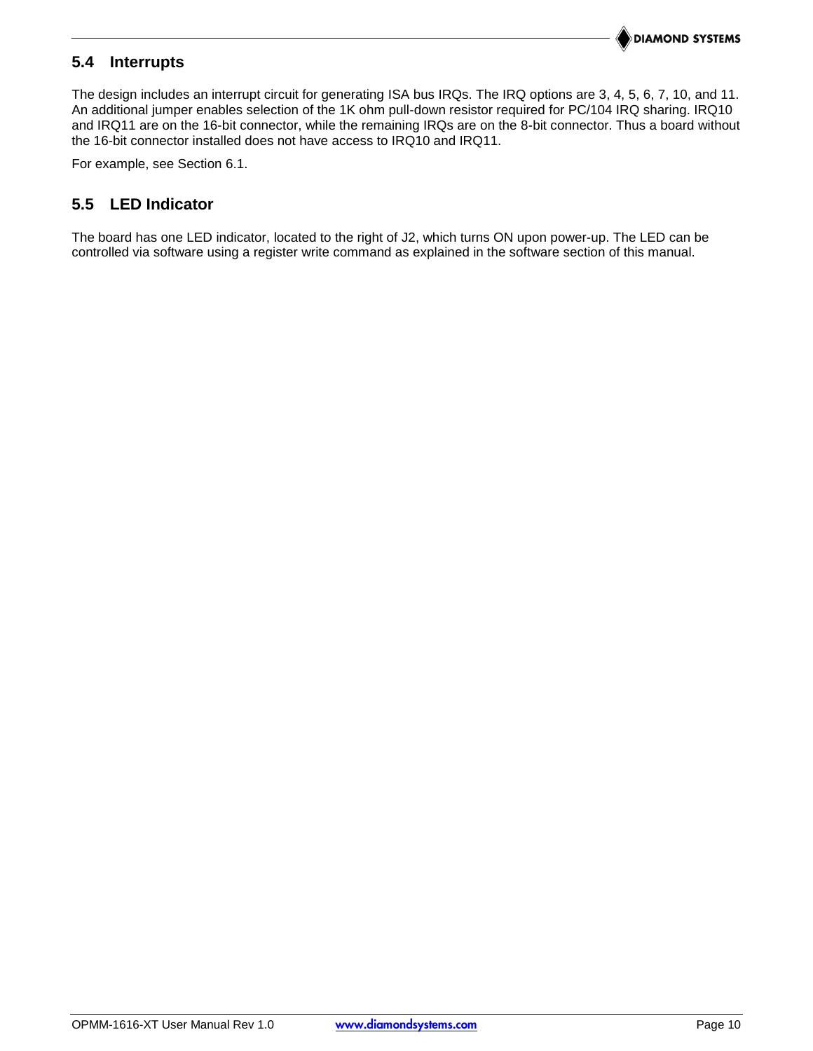## **5.4 Interrupts**

The design includes an interrupt circuit for generating ISA bus IRQs. The IRQ options are 3, 4, 5, 6, 7, 10, and 11. An additional jumper enables selection of the 1K ohm pull-down resistor required for PC/104 IRQ sharing. IRQ10 and IRQ11 are on the 16-bit connector, while the remaining IRQs are on the 8-bit connector. Thus a board without the 16-bit connector installed does not have access to IRQ10 and IRQ11.

For example, see Section [6.1.](#page-10-0)

## **5.5 LED Indicator**

The board has one LED indicator, located to the right of J2, which turns ON upon power-up. The LED can be controlled via software using a register write command as explained in the software section of this manual.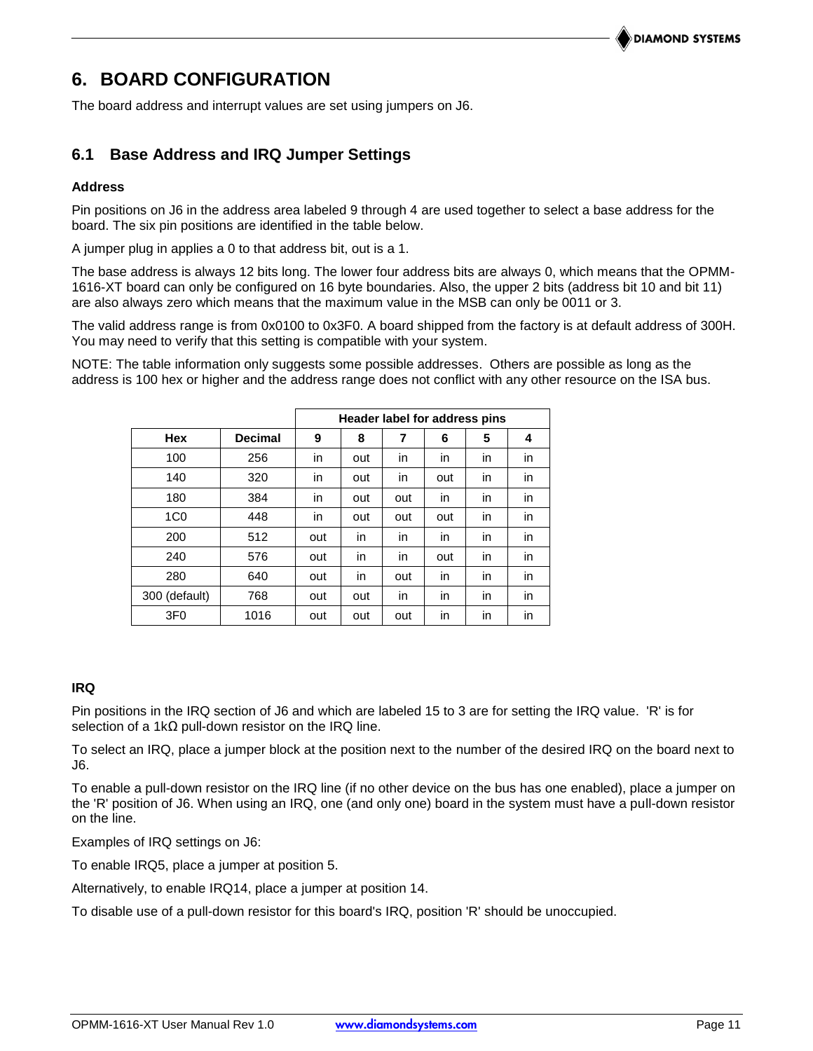## **6. BOARD CONFIGURATION**

<span id="page-10-0"></span>The board address and interrupt values are set using jumpers on J6.

## **6.1 Base Address and IRQ Jumper Settings**

#### **Address**

Pin positions on J6 in the address area labeled 9 through 4 are used together to select a base address for the board. The six pin positions are identified in the table below.

A jumper plug in applies a 0 to that address bit, out is a 1.

The base address is always 12 bits long. The lower four address bits are always 0, which means that the OPMM-1616-XT board can only be configured on 16 byte boundaries. Also, the upper 2 bits (address bit 10 and bit 11) are also always zero which means that the maximum value in the MSB can only be 0011 or 3.

The valid address range is from 0x0100 to 0x3F0. A board shipped from the factory is at default address of 300H. You may need to verify that this setting is compatible with your system.

NOTE: The table information only suggests some possible addresses. Others are possible as long as the address is 100 hex or higher and the address range does not conflict with any other resource on the ISA bus.

|                 |                | Header label for address pins |     |     |     |    |    |  |
|-----------------|----------------|-------------------------------|-----|-----|-----|----|----|--|
| <b>Hex</b>      | <b>Decimal</b> | 9                             | 8   | 7   | 6   | 5  | 4  |  |
| 100             | 256            | in                            | out | in  | in  | in | in |  |
| 140             | 320            | in                            | out | in. | out | in | in |  |
| 180             | 384            | in                            | out | out | in  | in | in |  |
| 1 <sub>CO</sub> | 448            | in                            | out | out | out | in | in |  |
| 200             | 512            | out                           | in  | in  | in  | in | in |  |
| 240             | 576            | out                           | in  | in. | out | in | in |  |
| 280             | 640            | out                           | in  | out | in  | in | in |  |
| 300 (default)   | 768            | out                           | out | in. | in  | in | in |  |
| 3F <sub>0</sub> | 1016           | out                           | out | out | in  | in | in |  |

### **IRQ**

Pin positions in the IRQ section of J6 and which are labeled 15 to 3 are for setting the IRQ value. 'R' is for selection of a 1k $\Omega$  pull-down resistor on the IRQ line.

To select an IRQ, place a jumper block at the position next to the number of the desired IRQ on the board next to J6.

To enable a pull-down resistor on the IRQ line (if no other device on the bus has one enabled), place a jumper on the 'R' position of J6. When using an IRQ, one (and only one) board in the system must have a pull-down resistor on the line.

Examples of IRQ settings on J6:

To enable IRQ5, place a jumper at position 5.

Alternatively, to enable IRQ14, place a jumper at position 14.

To disable use of a pull-down resistor for this board's IRQ, position 'R' should be unoccupied.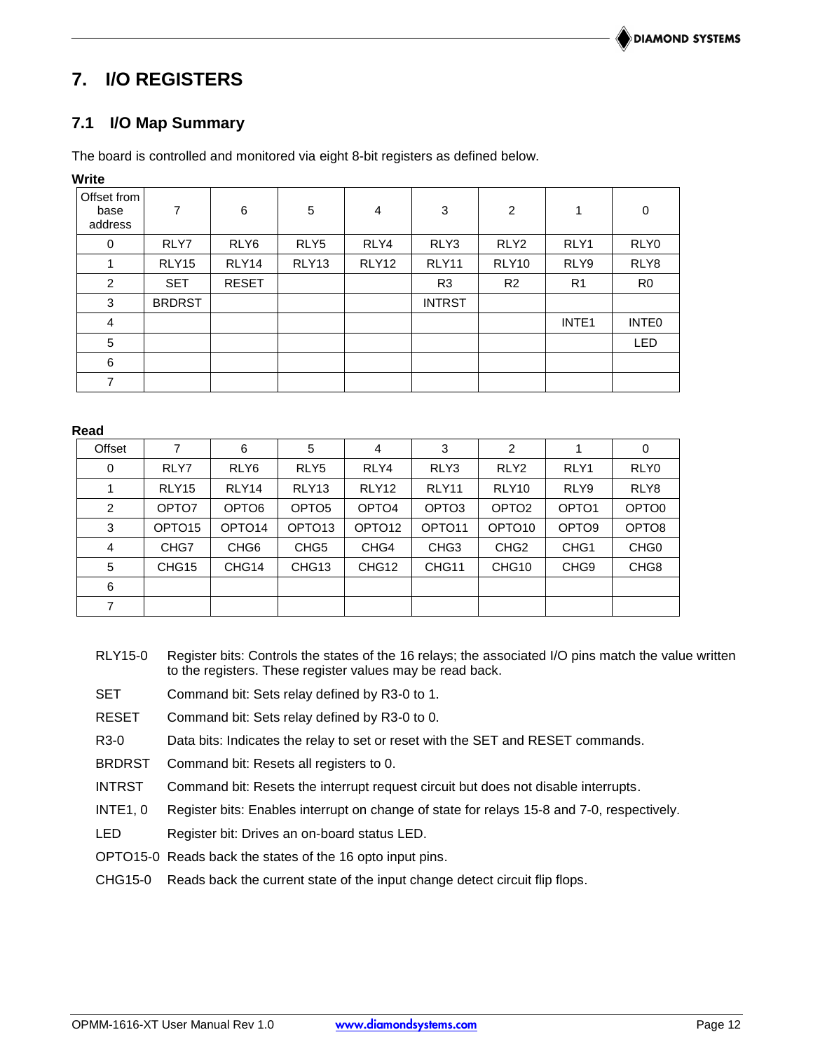## **7. I/O REGISTERS**

## **7.1 I/O Map Summary**

The board is controlled and monitored via eight 8-bit registers as defined below.

| vvrite                         |               |                  |                   |       |                |                  |                   |                   |
|--------------------------------|---------------|------------------|-------------------|-------|----------------|------------------|-------------------|-------------------|
| Offset from<br>base<br>address | 7             | 6                | $\sqrt{5}$        | 4     | 3              | $\overline{c}$   | 1                 | 0                 |
| 0                              | RLY7          | RLY <sub>6</sub> | RLY5              | RLY4  | RLY3           | RLY <sub>2</sub> | RLY1              | RLY0              |
| 1                              | RLY15         | RLY14            | RLY <sub>13</sub> | RLY12 | RLY11          | RLY10            | RLY9              | RLY8              |
| $\overline{c}$                 | <b>SET</b>    | <b>RESET</b>     |                   |       | R <sub>3</sub> | R <sub>2</sub>   | R <sub>1</sub>    | R <sub>0</sub>    |
| 3                              | <b>BRDRST</b> |                  |                   |       | <b>INTRST</b>  |                  |                   |                   |
| 4                              |               |                  |                   |       |                |                  | INTE <sub>1</sub> | INTE <sub>0</sub> |
| 5                              |               |                  |                   |       |                |                  |                   | <b>LED</b>        |
| 6                              |               |                  |                   |       |                |                  |                   |                   |
| $\overline{7}$                 |               |                  |                   |       |                |                  |                   |                   |

#### **Read**

**Write**

| Offset         | 7                  | 6                  | 5                  | 4                  | 3                  | 2                  |                   | 0                 |
|----------------|--------------------|--------------------|--------------------|--------------------|--------------------|--------------------|-------------------|-------------------|
| 0              | RLY7               | RLY <sub>6</sub>   | RLY <sub>5</sub>   | RLY4               | RLY3               | RLY <sub>2</sub>   | RLY1              | RLY0              |
|                | RLY <sub>15</sub>  | RLY14              | RLY <sub>13</sub>  | RLY <sub>12</sub>  | RLY <sub>11</sub>  | RLY <sub>10</sub>  | RLY9              | RLY8              |
| $\overline{2}$ | OPTO7              | OPTO <sub>6</sub>  | OPTO <sub>5</sub>  | OPTO <sub>4</sub>  | OPTO <sub>3</sub>  | OPTO <sub>2</sub>  | OPTO <sub>1</sub> | OPTO <sub>0</sub> |
| 3              | OPTO <sub>15</sub> | OPTO <sub>14</sub> | OPTO <sub>13</sub> | OPTO <sub>12</sub> | OPTO <sub>11</sub> | OPTO <sub>10</sub> | OPTO <sub>9</sub> | OPTO8             |
| $\overline{4}$ | CHG7               | CHG <sub>6</sub>   | CHG <sub>5</sub>   | CHG4               | CHG <sub>3</sub>   | CHG <sub>2</sub>   | CHG <sub>1</sub>  | CHG <sub>0</sub>  |
| 5              | CHG <sub>15</sub>  | CHG14              | CHG <sub>13</sub>  | CHG <sub>12</sub>  | CHG <sub>11</sub>  | CHG <sub>10</sub>  | CHG <sub>9</sub>  | CHG <sub>8</sub>  |
| 6              |                    |                    |                    |                    |                    |                    |                   |                   |
| $\overline{7}$ |                    |                    |                    |                    |                    |                    |                   |                   |

RLY15-0 Register bits: Controls the states of the 16 relays; the associated I/O pins match the value written to the registers. These register values may be read back.

- SET Command bit: Sets relay defined by R3-0 to 1.
- RESET Command bit: Sets relay defined by R3-0 to 0.
- R3-0 Data bits: Indicates the relay to set or reset with the SET and RESET commands.
- BRDRST Command bit: Resets all registers to 0.
- INTRST Command bit: Resets the interrupt request circuit but does not disable interrupts.
- INTE1, 0 Register bits: Enables interrupt on change of state for relays 15-8 and 7-0, respectively.
- LED Register bit: Drives an on-board status LED.
- OPTO15-0 Reads back the states of the 16 opto input pins.
- CHG15-0 Reads back the current state of the input change detect circuit flip flops.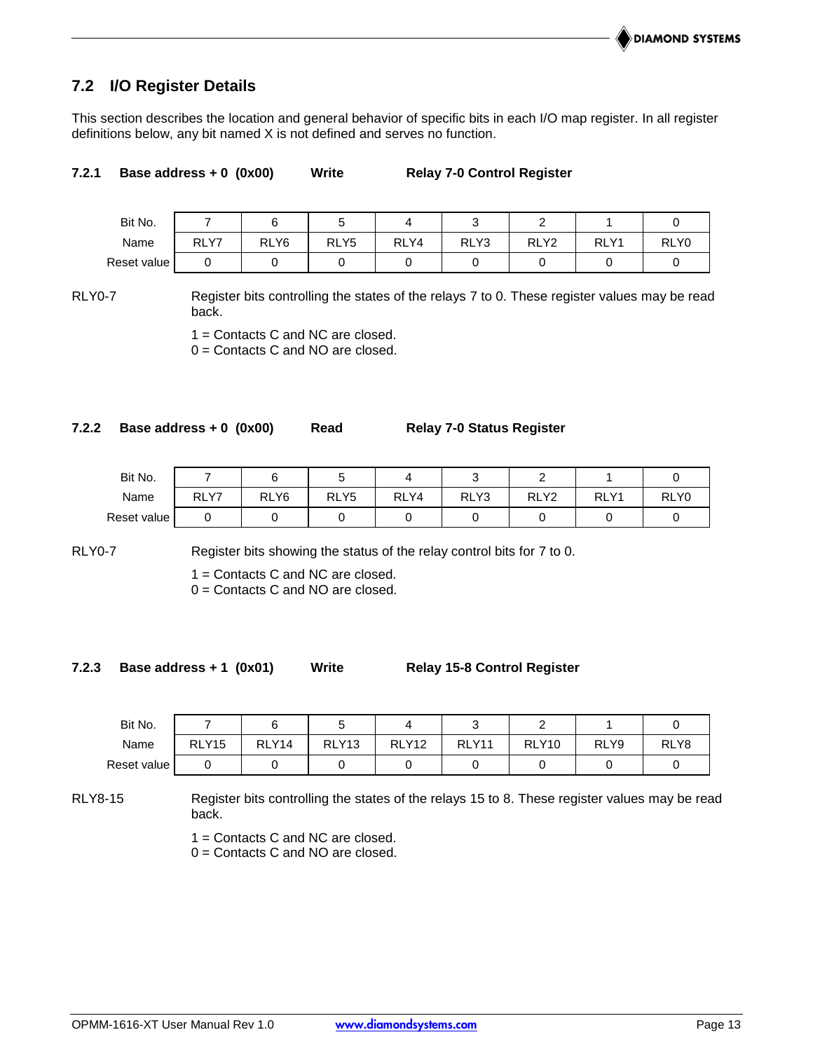## **7.2 I/O Register Details**

This section describes the location and general behavior of specific bits in each I/O map register. In all register definitions below, any bit named X is not defined and serves no function.

#### **7.2.1 Base address + 0 (0x00) Write Relay 7-0 Control Register**

| Bit No.     |      |                  |                  |      |      |                  |      |      |
|-------------|------|------------------|------------------|------|------|------------------|------|------|
| Name        | RLY7 | RLY <sub>6</sub> | RLY <sub>5</sub> | RLY4 | RLY3 | RLY <sub>2</sub> | RLY1 | RLY0 |
| Reset value |      |                  |                  |      |      |                  |      |      |

RLY0-7 Register bits controlling the states of the relays 7 to 0. These register values may be read back.

1 = Contacts C and NC are closed.

0 = Contacts C and NO are closed.

#### **7.2.2 Base address + 0 (0x00) Read Relay 7-0 Status Register**

| Bit No.     |                       |                  |                  |      |      |                  |                      |      |
|-------------|-----------------------|------------------|------------------|------|------|------------------|----------------------|------|
| Name        | V <sub>7</sub><br>RLY | RLY <sub>6</sub> | RLY <sub>5</sub> | RLY4 | RLY3 | RLY <sub>2</sub> | <b>RLY</b><br>$\vee$ | RLY0 |
| Reset value |                       |                  |                  |      |      |                  |                      |      |

RLY0-7 Register bits showing the status of the relay control bits for 7 to 0.

1 = Contacts C and NC are closed.

0 = Contacts C and NO are closed.

#### **7.2.3 Base address + 1 (0x01) Write Relay 15-8 Control Register**

| Bit No.     |                   |       |                   |                   |       |                   |      |      |
|-------------|-------------------|-------|-------------------|-------------------|-------|-------------------|------|------|
| Name        | RLY <sub>15</sub> | RLY14 | RLY <sub>13</sub> | RLY <sub>12</sub> | RLY11 | RLY <sub>10</sub> | RLY9 | RLY8 |
| Reset value |                   |       |                   |                   |       |                   |      |      |

RLY8-15 Register bits controlling the states of the relays 15 to 8. These register values may be read back.

1 = Contacts C and NC are closed.

0 = Contacts C and NO are closed.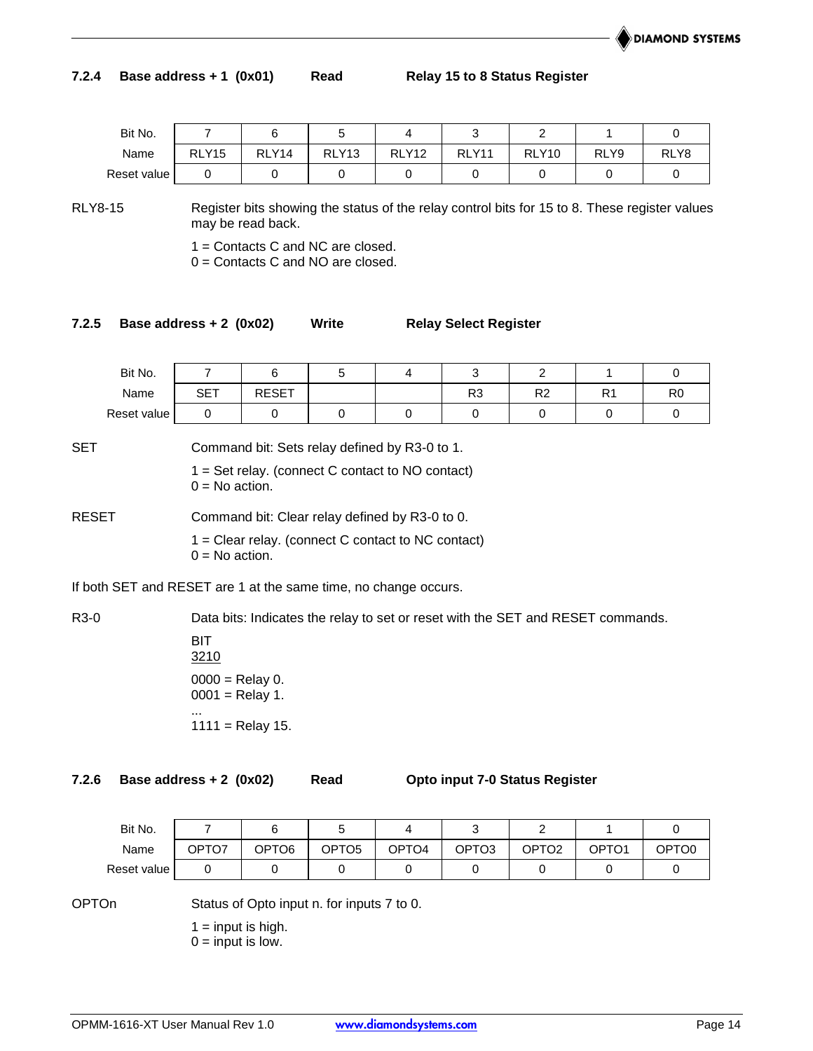### **7.2.4 Base address + 1 (0x01) Read Relay 15 to 8 Status Register**

| Bit No.     |                   |       |                   |                   |              |                   |      |      |
|-------------|-------------------|-------|-------------------|-------------------|--------------|-------------------|------|------|
| Name        | RLY <sub>15</sub> | RLY14 | RLY <sub>13</sub> | RLY <sub>12</sub> | <b>RLY11</b> | RLY <sub>10</sub> | RLY9 | RLY8 |
| Reset value |                   |       |                   |                   |              |                   |      |      |

RLY8-15 Register bits showing the status of the relay control bits for 15 to 8. These register values may be read back.

1 = Contacts C and NC are closed.

0 = Contacts C and NO are closed.

## **7.2.5 Base address + 2 (0x02) Write Relay Select Register**

| Bit No.     |            |              |  | ັ              |                |    |                |
|-------------|------------|--------------|--|----------------|----------------|----|----------------|
| Name        | <b>SET</b> | <b>RESET</b> |  | R <sub>3</sub> | R <sub>2</sub> | R1 | R <sub>0</sub> |
| Reset value |            |              |  |                |                |    |                |
| $-$         | $\sim$     | $\cdots$     |  |                |                |    |                |

SET Command bit: Sets relay defined by R3-0 to 1.

 $1 = Set$  relay. (connect C contact to NO contact)  $0 = No$  action.

| RESET | Command bit: Clear relay defined by R3-0 to 0. |  |  |
|-------|------------------------------------------------|--|--|
|       |                                                |  |  |

1 = Clear relay. (connect C contact to NC contact)  $0 = No$  action.

If both SET and RESET are 1 at the same time, no change occurs.

R3-0 Data bits: Indicates the relay to set or reset with the SET and RESET commands.

BIT 3210  $0000 =$  Relay 0.  $0001$  = Relay 1. ...  $1111 =$  Relay 15.

**7.2.6 Base address + 2 (0x02) Read Opto input 7-0 Status Register**

| Bit No.     |       |       |                   |       |       |       |       |       |
|-------------|-------|-------|-------------------|-------|-------|-------|-------|-------|
| Name        | OPTO7 | OPTO6 | OPTO <sub>5</sub> | OPTO4 | OPTO3 | OPTO2 | OPTO1 | OPTO0 |
| Reset value |       |       |                   |       |       |       |       |       |

OPTOn Status of Opto input n. for inputs 7 to 0.

 $1 =$  input is high.  $0 =$  input is low.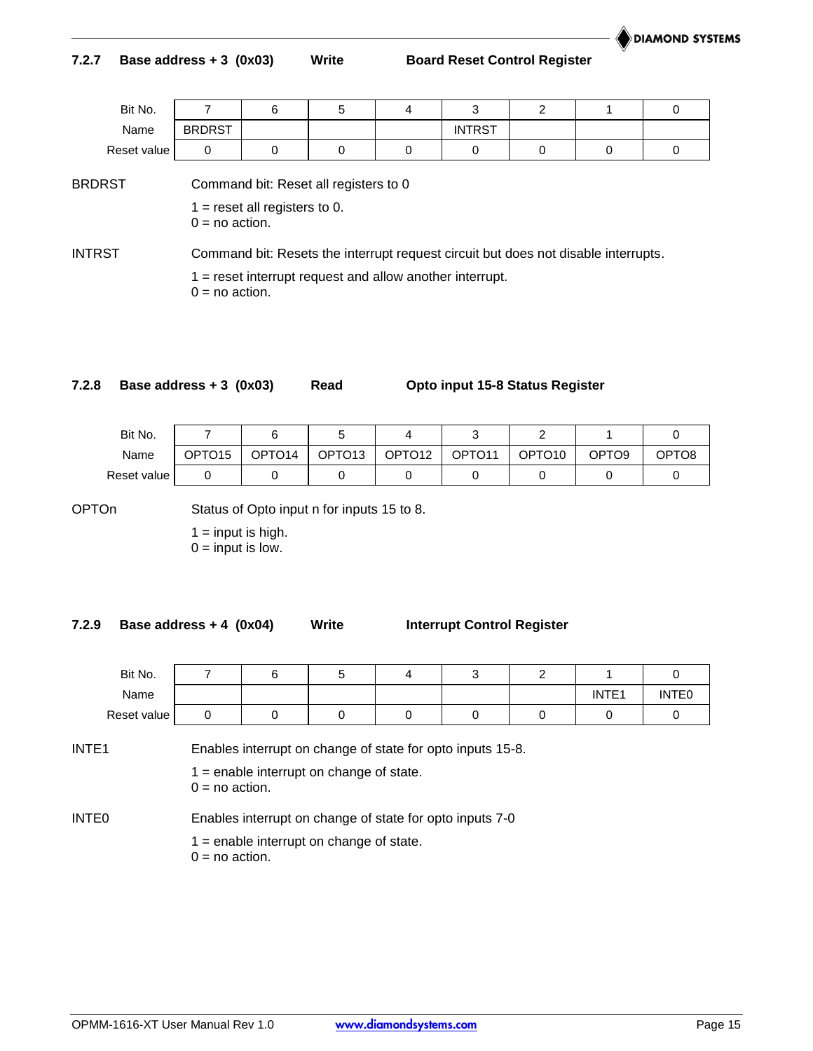### **7.2.7 Base address + 3 (0x03) Write Board Reset Control Register**

| Bit No.     |               |  |               |  |  |
|-------------|---------------|--|---------------|--|--|
| Name        | <b>BRDRST</b> |  | <b>INTRST</b> |  |  |
| Reset value |               |  |               |  |  |

BRDRST Command bit: Reset all registers to 0

 $1 =$  reset all registers to 0.  $0 = no$  action.

INTRST Command bit: Resets the interrupt request circuit but does not disable interrupts.

1 = reset interrupt request and allow another interrupt.  $0 = no$  action.

**7.2.8 Base address + 3 (0x03) Read Opto input 15-8 Status Register**

| Bit No.     |                    |                    |                    |                    |                    |                    |                   |       |
|-------------|--------------------|--------------------|--------------------|--------------------|--------------------|--------------------|-------------------|-------|
| Name        | OPTO <sub>15</sub> | OPTO <sub>14</sub> | OPTO <sub>13</sub> | OPTO <sub>12</sub> | OPTO <sub>11</sub> | OPTO <sub>10</sub> | OPTO <sub>9</sub> | OPTO8 |
| Reset value |                    |                    |                    |                    |                    |                    |                   |       |

OPTOn Status of Opto input n for inputs 15 to 8.

 $1 =$  input is high.  $0 =$  input is low.

**7.2.9 Base address + 4 (0x04) Write Interrupt Control Register**

| Bit No.     |  |  |  |                   |                   |
|-------------|--|--|--|-------------------|-------------------|
| Name        |  |  |  | INTE <sub>1</sub> | INTE <sub>0</sub> |
| Reset value |  |  |  |                   |                   |

INTE1 Enables interrupt on change of state for opto inputs 15-8.

 $1$  = enable interrupt on change of state.

 $0 = no$  action.

INTE0 Enables interrupt on change of state for opto inputs 7-0

 $1$  = enable interrupt on change of state.

 $0 = no$  action.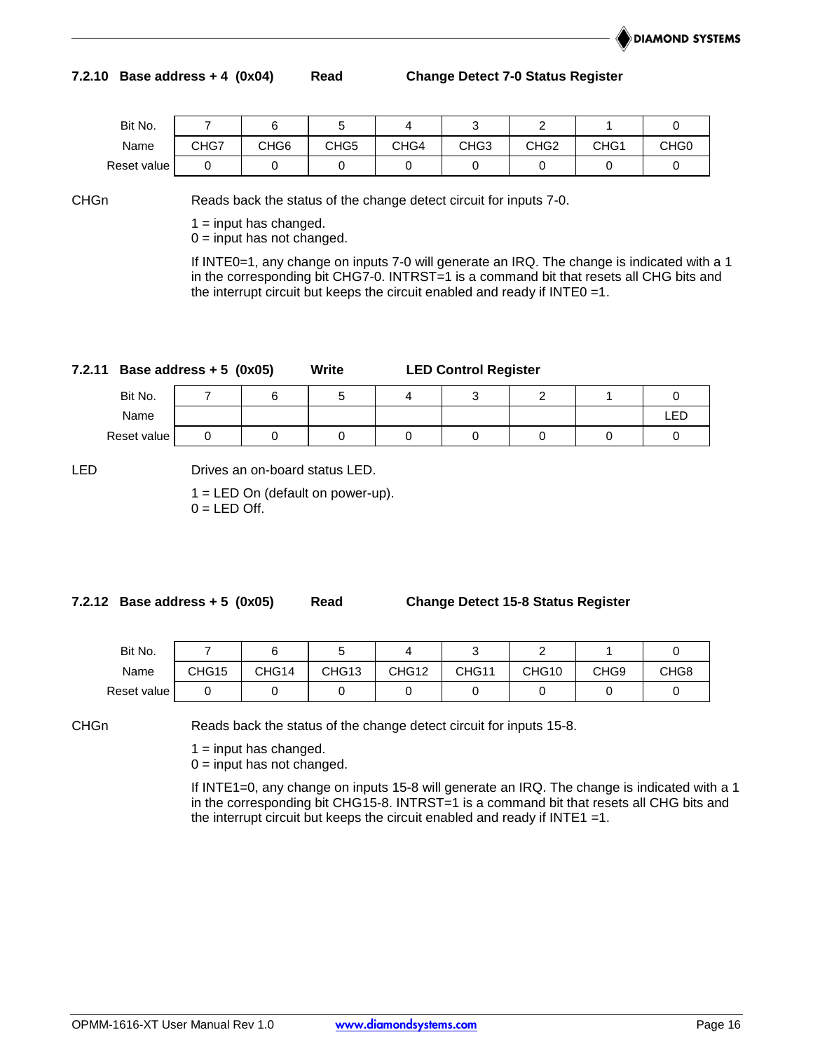#### **7.2.10 Base address + 4 (0x04) Read Change Detect 7-0 Status Register**

| Bit No.     |      |      |      |      |                  |      |                  |                  |
|-------------|------|------|------|------|------------------|------|------------------|------------------|
| Name        | CHG7 | CHG6 | CHG5 | CHG4 | CHG <sub>3</sub> | CHG2 | CHG <sub>1</sub> | CHG <sub>0</sub> |
| Reset value |      |      |      |      |                  |      |                  |                  |

CHGn Reads back the status of the change detect circuit for inputs 7-0.

 $1 =$  input has changed.

 $0 =$  input has not changed.

If INTE0=1, any change on inputs 7-0 will generate an IRQ. The change is indicated with a 1 in the corresponding bit CHG7-0. INTRST=1 is a command bit that resets all CHG bits and the interrupt circuit but keeps the circuit enabled and ready if INTE0 =1.

| 7.2.11 |             | Base address $+5$ (0x05)<br>Write |  |  | <b>LED Control Register</b> |  |  |  |     |  |
|--------|-------------|-----------------------------------|--|--|-----------------------------|--|--|--|-----|--|
|        | Bit No.     |                                   |  |  |                             |  |  |  |     |  |
|        | Name        |                                   |  |  |                             |  |  |  | ∟EΓ |  |
|        | Reset value |                                   |  |  |                             |  |  |  |     |  |

LED Drives an on-board status LED.

 $1 = LED$  On (default on power-up).  $0 = LED$  Off.

**7.2.12 Base address + 5 (0x05) Read Change Detect 15-8 Status Register**

| Bit No.     |       |       |                   |                   |       |       |                  |                  |
|-------------|-------|-------|-------------------|-------------------|-------|-------|------------------|------------------|
| Name        | CHG15 | CHG14 | CHG <sub>13</sub> | CHG <sub>12</sub> | CHG11 | CHG10 | CHG <sub>9</sub> | CHG <sub>8</sub> |
| Reset value |       |       |                   |                   |       |       |                  |                  |

CHGn Reads back the status of the change detect circuit for inputs 15-8.

 $1 =$  input has changed.

 $0 =$  input has not changed.

If INTE1=0, any change on inputs 15-8 will generate an IRQ. The change is indicated with a 1 in the corresponding bit CHG15-8. INTRST=1 is a command bit that resets all CHG bits and the interrupt circuit but keeps the circuit enabled and ready if  $INTER = 1$ .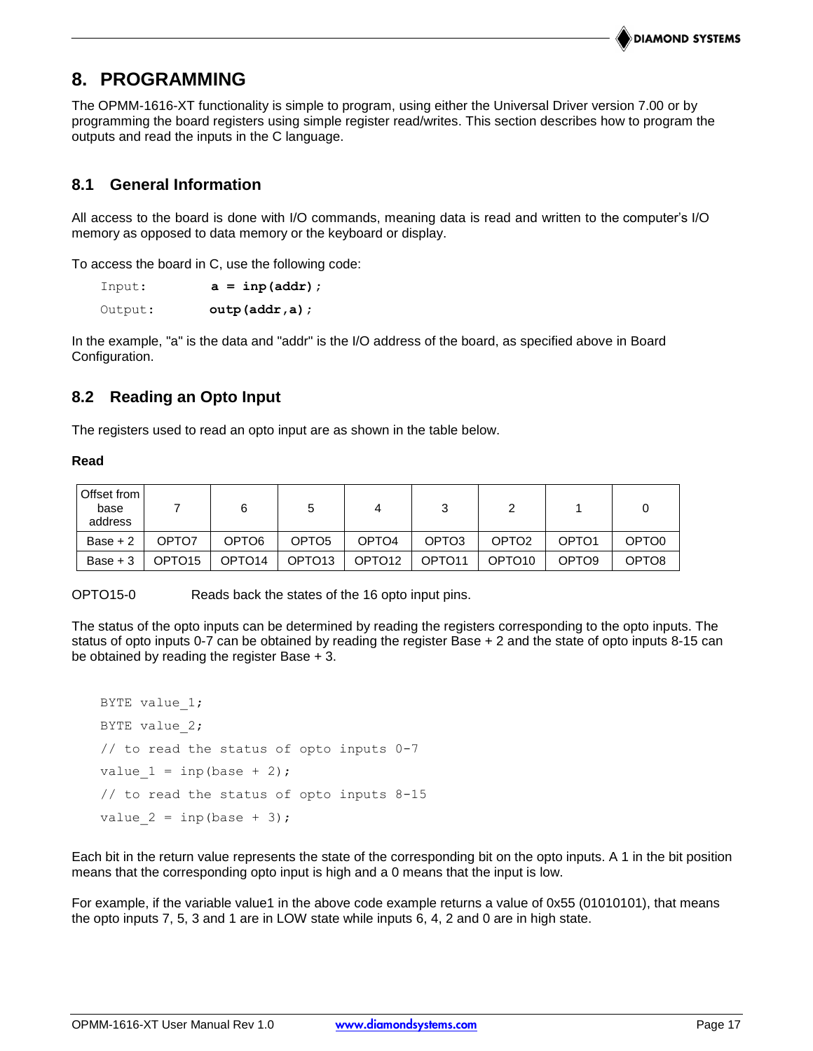#### **DIAMOND SYSTEMS**

## **8. PROGRAMMING**

The OPMM-1616-XT functionality is simple to program, using either the Universal Driver version 7.00 or by programming the board registers using simple register read/writes. This section describes how to program the outputs and read the inputs in the C language.

## **8.1 General Information**

All access to the board is done with I/O commands, meaning data is read and written to the computer's I/O memory as opposed to data memory or the keyboard or display.

To access the board in C, use the following code:

| Input:  | $a = \text{inp}(\text{addr})$ ; |
|---------|---------------------------------|
| Output: | $outp$ (addr, a);               |

In the example, "a" is the data and "addr" is the I/O address of the board, as specified above in Board Configuration.

## **8.2 Reading an Opto Input**

The registers used to read an opto input are as shown in the table below.

#### **Read**

| Offset from<br>base<br>address |                    |                    |                    |                    |                    |                    |                   |                   |
|--------------------------------|--------------------|--------------------|--------------------|--------------------|--------------------|--------------------|-------------------|-------------------|
| Base $+2$                      | OPTO7              | OPTO6              | OPTO <sub>5</sub>  | OPTO <sub>4</sub>  | OPTO <sub>3</sub>  | OPTO <sub>2</sub>  | OPTO <sub>1</sub> | OPTO <sub>0</sub> |
| $Base + 3$                     | OPTO <sub>15</sub> | OPTO <sub>14</sub> | OPTO <sub>13</sub> | OPTO <sub>12</sub> | OPTO <sub>11</sub> | OPTO <sub>10</sub> | OPTO <sub>9</sub> | OPTO <sub>8</sub> |

OPTO15-0 Reads back the states of the 16 opto input pins.

The status of the opto inputs can be determined by reading the registers corresponding to the opto inputs. The status of opto inputs 0-7 can be obtained by reading the register Base + 2 and the state of opto inputs 8-15 can be obtained by reading the register Base + 3.

```
BYTE value 1;
BYTE value 2;
// to read the status of opto inputs 0-7
value 1 = \text{inp}(\text{base} + 2);
// to read the status of opto inputs 8-15
value 2 = \text{inp}(\text{base} + 3);
```
Each bit in the return value represents the state of the corresponding bit on the opto inputs. A 1 in the bit position means that the corresponding opto input is high and a 0 means that the input is low.

For example, if the variable value1 in the above code example returns a value of 0x55 (01010101), that means the opto inputs 7, 5, 3 and 1 are in LOW state while inputs 6, 4, 2 and 0 are in high state.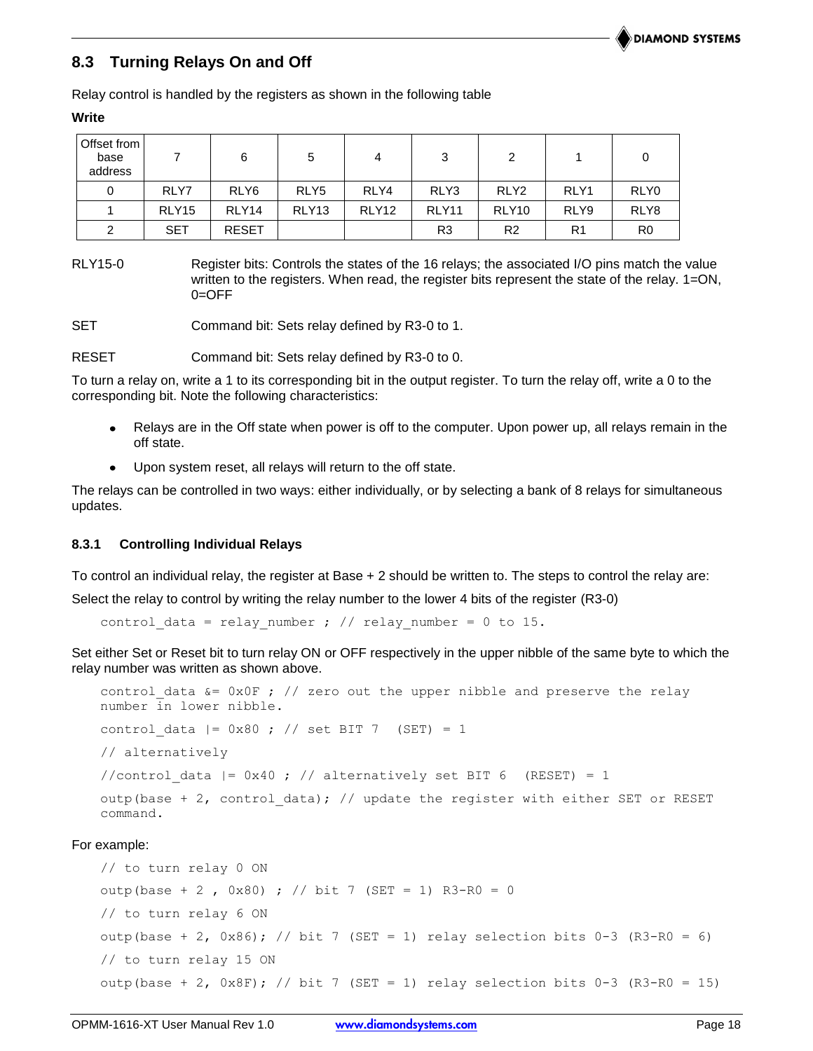## **8.3 Turning Relays On and Off**

Relay control is handled by the registers as shown in the following table

| Offset from<br>base<br>address |                   | 6                | 5                 | 4                 | 3              | 2                 |                | 0              |
|--------------------------------|-------------------|------------------|-------------------|-------------------|----------------|-------------------|----------------|----------------|
| 0                              | RLY7              | RLY <sub>6</sub> | RLY <sub>5</sub>  | RLY4              | RLY3           | RLY <sub>2</sub>  | RLY1           | RLY0           |
|                                | RLY <sub>15</sub> | RLY14            | RLY <sub>13</sub> | RLY <sub>12</sub> | RLY11          | RLY <sub>10</sub> | RLY9           | RLY8           |
| 2                              | <b>SET</b>        | <b>RESET</b>     |                   |                   | R <sub>3</sub> | R <sub>2</sub>    | R <sub>1</sub> | R <sub>0</sub> |

RLY15-0 Register bits: Controls the states of the 16 relays; the associated I/O pins match the value written to the registers. When read, the register bits represent the state of the relay. 1=ON,  $0 =$ OFF

SET **Command bit: Sets relay defined by R3-0 to 1.** 

RESET Command bit: Sets relay defined by R3-0 to 0.

To turn a relay on, write a 1 to its corresponding bit in the output register. To turn the relay off, write a 0 to the corresponding bit. Note the following characteristics:

- Relays are in the Off state when power is off to the computer. Upon power up, all relays remain in the off state.
- Upon system reset, all relays will return to the off state.

The relays can be controlled in two ways: either individually, or by selecting a bank of 8 relays for simultaneous updates.

#### **8.3.1 Controlling Individual Relays**

To control an individual relay, the register at Base + 2 should be written to. The steps to control the relay are:

Select the relay to control by writing the relay number to the lower 4 bits of the register (R3-0)

control data = relay number ; // relay number = 0 to 15.

Set either Set or Reset bit to turn relay ON or OFF respectively in the upper nibble of the same byte to which the relay number was written as shown above.

```
control data &= 0x0F ; // zero out the upper nibble and preserve the relay
number in lower nibble.
control data |= 0x80 ; // set BIT 7 (SET) = 1
// alternatively
```
//control data  $| = 0x40$  ; // alternatively set BIT 6 (RESET) = 1

outp(base + 2, control data); // update the register with either SET or RESET command.

#### For example:

```
// to turn relay 0 ON
outp(base + 2, 0x80) ; // bit 7 (SET = 1) R3-R0 = 0
// to turn relay 6 ON
outp(base + 2, 0x86); // bit 7 (SET = 1) relay selection bits 0-3 (R3-R0 = 6)
// to turn relay 15 ON 
outp(base + 2, 0x8F); // bit 7 (SET = 1) relay selection bits 0-3 (R3-R0 = 15)
```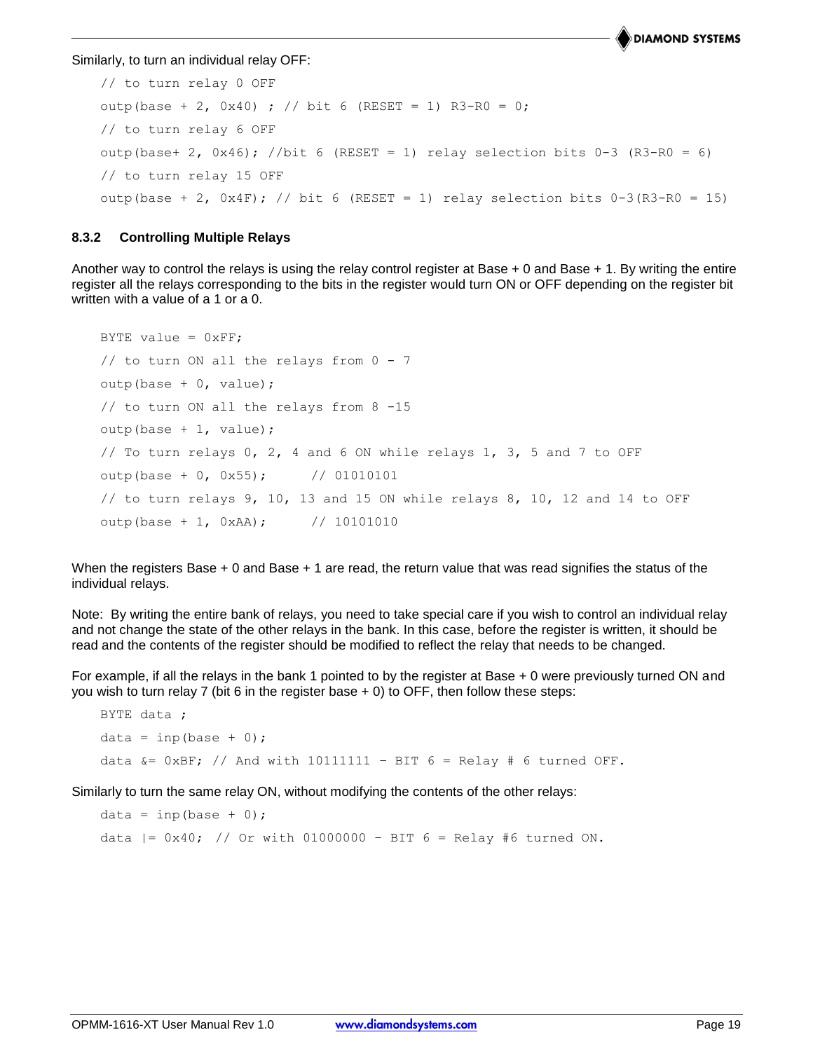**DIAMOND SYSTEMS** 

Similarly, to turn an individual relay OFF:

```
// to turn relay 0 OFF
outp(base + 2, 0x40) ; // bit 6 (RESET = 1) R3-R0 = 0;
// to turn relay 6 OFF
outp(base+ 2, 0x46); //bit 6 (RESET = 1) relay selection bits 0-3 (R3-R0 = 6)
// to turn relay 15 OFF
outp(base + 2, 0x4F); // bit 6 (RESET = 1) relay selection bits 0-3(R3-R0 = 15)
```
#### **8.3.2 Controlling Multiple Relays**

Another way to control the relays is using the relay control register at Base  $+0$  and Base  $+1$ . By writing the entire register all the relays corresponding to the bits in the register would turn ON or OFF depending on the register bit written with a value of a 1 or a 0.

```
BYTE value = 0xFF;
// to turn ON all the relays from 0 - 7outp(base + 0, value);
// to turn ON all the relays from 8 -15
outp(base + 1, value);
// To turn relays 0, 2, 4 and 6 ON while relays 1, 3, 5 and 7 to OFF
outp(base + 0, 0x55); // 01010101
// to turn relays 9, 10, 13 and 15 ON while relays 8, 10, 12 and 14 to OFF
output(base + 1, 0xAA); // 10101010
```
When the registers Base + 0 and Base + 1 are read, the return value that was read signifies the status of the individual relays.

Note: By writing the entire bank of relays, you need to take special care if you wish to control an individual relay and not change the state of the other relays in the bank. In this case, before the register is written, it should be read and the contents of the register should be modified to reflect the relay that needs to be changed.

For example, if all the relays in the bank 1 pointed to by the register at Base + 0 were previously turned ON and you wish to turn relay 7 (bit 6 in the register base + 0) to OFF, then follow these steps:

```
BYTE data ;
data = inp(base + 0);data &= 0xBF; // And with 10111111 - BIT 6 = Relay # 6 turned OFF.
```
Similarly to turn the same relay ON, without modifying the contents of the other relays:

```
data = inp(base + 0);data | = 0x40; // Or with 01000000 - BIT 6 = Relay #6 turned ON.
```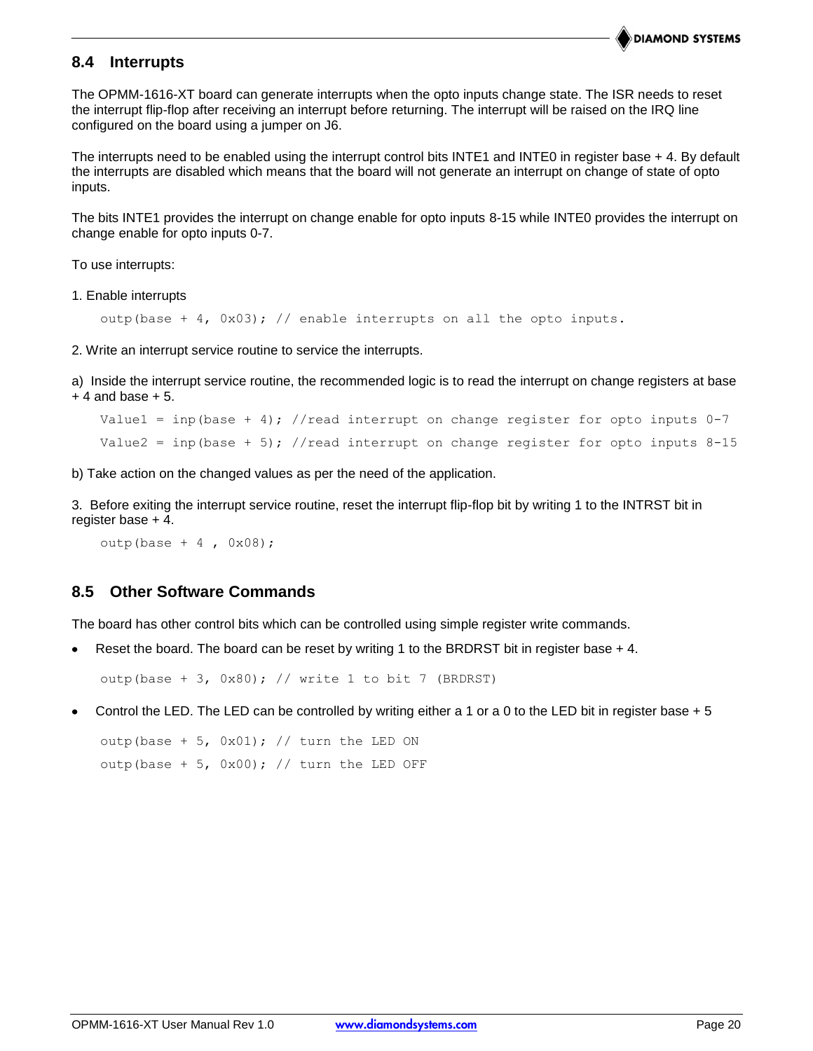## **8.4 Interrupts**

The OPMM-1616-XT board can generate interrupts when the opto inputs change state. The ISR needs to reset the interrupt flip-flop after receiving an interrupt before returning. The interrupt will be raised on the IRQ line configured on the board using a jumper on J6.

The interrupts need to be enabled using the interrupt control bits INTE1 and INTE0 in register base + 4. By default the interrupts are disabled which means that the board will not generate an interrupt on change of state of opto inputs.

The bits INTE1 provides the interrupt on change enable for opto inputs 8-15 while INTE0 provides the interrupt on change enable for opto inputs 0-7.

To use interrupts:

1. Enable interrupts

outp(base + 4,  $0x03$ ); // enable interrupts on all the opto inputs.

2. Write an interrupt service routine to service the interrupts.

a) Inside the interrupt service routine, the recommended logic is to read the interrupt on change registers at base  $+4$  and base  $+5$ .

```
Value1 = inp(base + 4); //read interrupt on change register for opto inputs 0-7Value2 = inp(base + 5); //read interrupt on change register for opto inputs 8-15
```
b) Take action on the changed values as per the need of the application.

3. Before exiting the interrupt service routine, reset the interrupt flip-flop bit by writing 1 to the INTRST bit in register base + 4.

```
outp(base + 4, 0x08);
```
## **8.5 Other Software Commands**

The board has other control bits which can be controlled using simple register write commands.

Reset the board. The board can be reset by writing 1 to the BRDRST bit in register base + 4.

outp(base  $+ 3$ , 0x80); // write 1 to bit 7 (BRDRST)

Control the LED. The LED can be controlled by writing either a 1 or a 0 to the LED bit in register base + 5

outp(base + 5,  $0x01$ ); // turn the LED ON outp(base + 5,  $0x00$ ); // turn the LED OFF